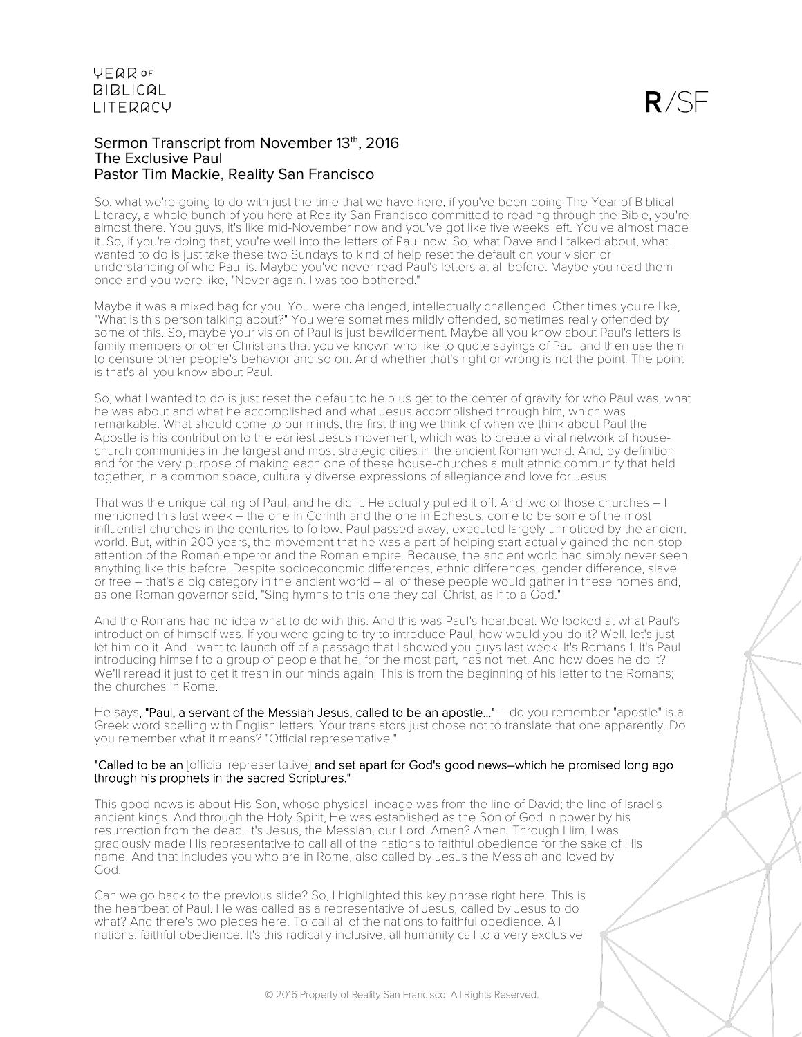#### Sermon Transcript from November 13th, 2016 The Exclusive Paul Pastor Tim Mackie, Reality San Francisco

So, what we're going to do with just the time that we have here, if you've been doing The Year of Biblical Literacy, a whole bunch of you here at Reality San Francisco committed to reading through the Bible, you're almost there. You guys, it's like mid-November now and you've got like five weeks left. You've almost made it. So, if you're doing that, you're well into the letters of Paul now. So, what Dave and I talked about, what I wanted to do is just take these two Sundays to kind of help reset the default on your vision or understanding of who Paul is. Maybe you've never read Paul's letters at all before. Maybe you read them once and you were like, "Never again. I was too bothered."

Maybe it was a mixed bag for you. You were challenged, intellectually challenged. Other times you're like, "What is this person talking about?" You were sometimes mildly offended, sometimes really offended by some of this. So, maybe your vision of Paul is just bewilderment. Maybe all you know about Paul's letters is family members or other Christians that you've known who like to quote sayings of Paul and then use them to censure other people's behavior and so on. And whether that's right or wrong is not the point. The point is that's all you know about Paul.

So, what I wanted to do is just reset the default to help us get to the center of gravity for who Paul was, what he was about and what he accomplished and what Jesus accomplished through him, which was remarkable. What should come to our minds, the first thing we think of when we think about Paul the Apostle is his contribution to the earliest Jesus movement, which was to create a viral network of housechurch communities in the largest and most strategic cities in the ancient Roman world. And, by definition and for the very purpose of making each one of these house-churches a multiethnic community that held together, in a common space, culturally diverse expressions of allegiance and love for Jesus.

That was the unique calling of Paul, and he did it. He actually pulled it off. And two of those churches – I mentioned this last week – the one in Corinth and the one in Ephesus, come to be some of the most influential churches in the centuries to follow. Paul passed away, executed largely unnoticed by the ancient world. But, within 200 years, the movement that he was a part of helping start actually gained the non-stop attention of the Roman emperor and the Roman empire. Because, the ancient world had simply never seen anything like this before. Despite socioeconomic differences, ethnic differences, gender difference, slave or free – that's a big category in the ancient world – all of these people would gather in these homes and, as one Roman governor said, "Sing hymns to this one they call Christ, as if to a God."

And the Romans had no idea what to do with this. And this was Paul's heartbeat. We looked at what Paul's introduction of himself was. If you were going to try to introduce Paul, how would you do it? Well, let's just let him do it. And I want to launch off of a passage that I showed you guys last week. It's Romans 1. It's Paul introducing himself to a group of people that he, for the most part, has not met. And how does he do it? We'll reread it just to get it fresh in our minds again. This is from the beginning of his letter to the Romans; the churches in Rome.

He says, "Paul, a servant of the Messiah Jesus, called to be an apostle..." - do you remember "apostle" is a Greek word spelling with English letters. Your translators just chose not to translate that one apparently. Do you remember what it means? "Official representative."

#### "Called to be an [official representative] and set apart for God's good news-which he promised long ago through his prophets in the sacred Scriptures."

This good news is about His Son, whose physical lineage was from the line of David; the line of Israel's ancient kings. And through the Holy Spirit, He was established as the Son of God in power by his resurrection from the dead. It's Jesus, the Messiah, our Lord. Amen? Amen. Through Him, I was graciously made His representative to call all of the nations to faithful obedience for the sake of His name. And that includes you who are in Rome, also called by Jesus the Messiah and loved by God.

Can we go back to the previous slide? So, I highlighted this key phrase right here. This is the heartbeat of Paul. He was called as a representative of Jesus, called by Jesus to do what? And there's two pieces here. To call all of the nations to faithful obedience. All nations; faithful obedience. It's this radically inclusive, all humanity call to a very exclusive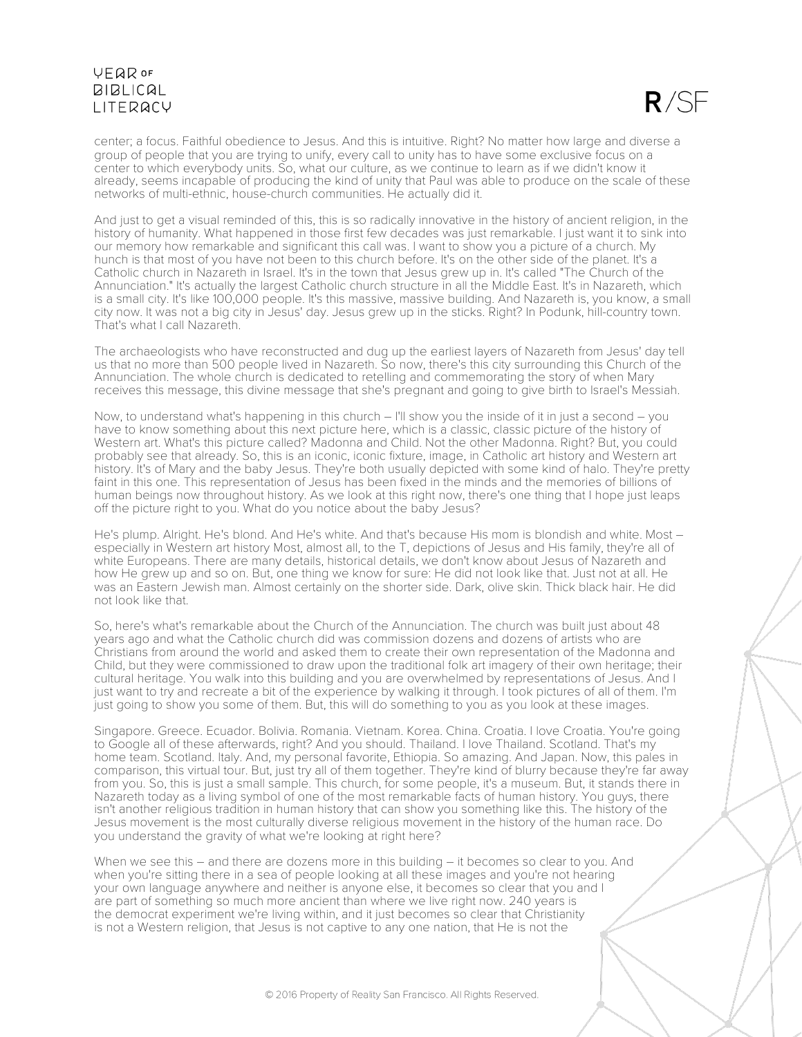

center; a focus. Faithful obedience to Jesus. And this is intuitive. Right? No matter how large and diverse a group of people that you are trying to unify, every call to unity has to have some exclusive focus on a center to which everybody units. So, what our culture, as we continue to learn as if we didn't know it already, seems incapable of producing the kind of unity that Paul was able to produce on the scale of these networks of multi-ethnic, house-church communities. He actually did it.

And just to get a visual reminded of this, this is so radically innovative in the history of ancient religion, in the history of humanity. What happened in those first few decades was just remarkable. I just want it to sink into our memory how remarkable and significant this call was. I want to show you a picture of a church. My hunch is that most of you have not been to this church before. It's on the other side of the planet. It's a Catholic church in Nazareth in Israel. It's in the town that Jesus grew up in. It's called "The Church of the Annunciation." It's actually the largest Catholic church structure in all the Middle East. It's in Nazareth, which is a small city. It's like 100,000 people. It's this massive, massive building. And Nazareth is, you know, a small city now. It was not a big city in Jesus' day. Jesus grew up in the sticks. Right? In Podunk, hill-country town. That's what I call Nazareth.

The archaeologists who have reconstructed and dug up the earliest layers of Nazareth from Jesus' day tell us that no more than 500 people lived in Nazareth. So now, there's this city surrounding this Church of the Annunciation. The whole church is dedicated to retelling and commemorating the story of when Mary receives this message, this divine message that she's pregnant and going to give birth to Israel's Messiah.

Now, to understand what's happening in this church – I'll show you the inside of it in just a second – you have to know something about this next picture here, which is a classic, classic picture of the history of Western art. What's this picture called? Madonna and Child. Not the other Madonna. Right? But, you could probably see that already. So, this is an iconic, iconic fixture, image, in Catholic art history and Western art history. It's of Mary and the baby Jesus. They're both usually depicted with some kind of halo. They're pretty faint in this one. This representation of Jesus has been fixed in the minds and the memories of billions of human beings now throughout history. As we look at this right now, there's one thing that I hope just leaps off the picture right to you. What do you notice about the baby Jesus?

He's plump. Alright. He's blond. And He's white. And that's because His mom is blondish and white. Most – especially in Western art history Most, almost all, to the T, depictions of Jesus and His family, they're all of white Europeans. There are many details, historical details, we don't know about Jesus of Nazareth and how He grew up and so on. But, one thing we know for sure: He did not look like that. Just not at all. He was an Eastern Jewish man. Almost certainly on the shorter side. Dark, olive skin. Thick black hair. He did not look like that.

So, here's what's remarkable about the Church of the Annunciation. The church was built just about 48 years ago and what the Catholic church did was commission dozens and dozens of artists who are Christians from around the world and asked them to create their own representation of the Madonna and Child, but they were commissioned to draw upon the traditional folk art imagery of their own heritage; their cultural heritage. You walk into this building and you are overwhelmed by representations of Jesus. And I just want to try and recreate a bit of the experience by walking it through. I took pictures of all of them. I'm just going to show you some of them. But, this will do something to you as you look at these images.

Singapore. Greece. Ecuador. Bolivia. Romania. Vietnam. Korea. China. Croatia. I love Croatia. You're going to Google all of these afterwards, right? And you should. Thailand. I love Thailand. Scotland. That's my home team. Scotland. Italy. And, my personal favorite, Ethiopia. So amazing. And Japan. Now, this pales in comparison, this virtual tour. But, just try all of them together. They're kind of blurry because they're far away from you. So, this is just a small sample. This church, for some people, it's a museum. But, it stands there in Nazareth today as a living symbol of one of the most remarkable facts of human history. You guys, there isn't another religious tradition in human history that can show you something like this. The history of the Jesus movement is the most culturally diverse religious movement in the history of the human race. Do you understand the gravity of what we're looking at right here?

When we see this – and there are dozens more in this building – it becomes so clear to you. And when you're sitting there in a sea of people looking at all these images and you're not hearing your own language anywhere and neither is anyone else, it becomes so clear that you and I are part of something so much more ancient than where we live right now. 240 years is the democrat experiment we're living within, and it just becomes so clear that Christianity is not a Western religion, that Jesus is not captive to any one nation, that He is not the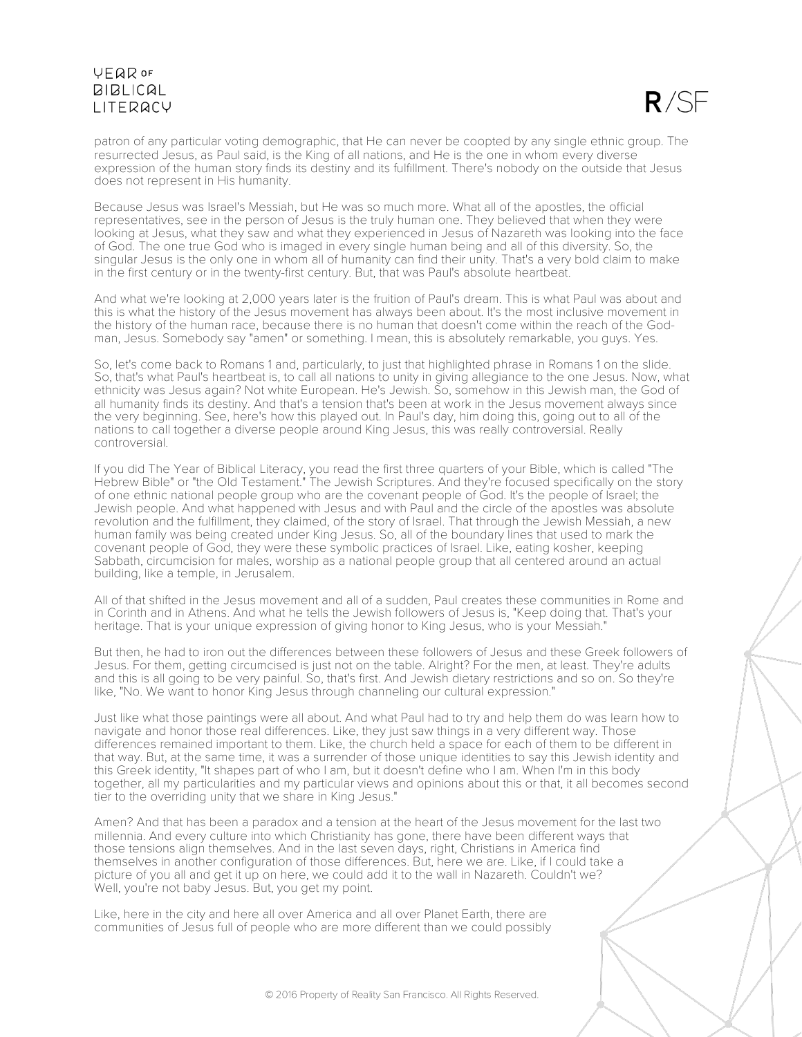

patron of any particular voting demographic, that He can never be coopted by any single ethnic group. The resurrected Jesus, as Paul said, is the King of all nations, and He is the one in whom every diverse expression of the human story finds its destiny and its fulfillment. There's nobody on the outside that Jesus does not represent in His humanity.

Because Jesus was Israel's Messiah, but He was so much more. What all of the apostles, the official representatives, see in the person of Jesus is the truly human one. They believed that when they were looking at Jesus, what they saw and what they experienced in Jesus of Nazareth was looking into the face of God. The one true God who is imaged in every single human being and all of this diversity. So, the singular Jesus is the only one in whom all of humanity can find their unity. That's a very bold claim to make in the first century or in the twenty-first century. But, that was Paul's absolute heartbeat.

And what we're looking at 2,000 years later is the fruition of Paul's dream. This is what Paul was about and this is what the history of the Jesus movement has always been about. It's the most inclusive movement in the history of the human race, because there is no human that doesn't come within the reach of the Godman, Jesus. Somebody say "amen" or something. I mean, this is absolutely remarkable, you guys. Yes.

So, let's come back to Romans 1 and, particularly, to just that highlighted phrase in Romans 1 on the slide. So, that's what Paul's heartbeat is, to call all nations to unity in giving allegiance to the one Jesus. Now, what ethnicity was Jesus again? Not white European. He's Jewish. So, somehow in this Jewish man, the God of all humanity finds its destiny. And that's a tension that's been at work in the Jesus movement always since the very beginning. See, here's how this played out. In Paul's day, him doing this, going out to all of the nations to call together a diverse people around King Jesus, this was really controversial. Really controversial.

If you did The Year of Biblical Literacy, you read the first three quarters of your Bible, which is called "The Hebrew Bible" or "the Old Testament." The Jewish Scriptures. And they're focused specifically on the story of one ethnic national people group who are the covenant people of God. It's the people of Israel; the Jewish people. And what happened with Jesus and with Paul and the circle of the apostles was absolute revolution and the fulfillment, they claimed, of the story of Israel. That through the Jewish Messiah, a new human family was being created under King Jesus. So, all of the boundary lines that used to mark the covenant people of God, they were these symbolic practices of Israel. Like, eating kosher, keeping Sabbath, circumcision for males, worship as a national people group that all centered around an actual building, like a temple, in Jerusalem.

All of that shifted in the Jesus movement and all of a sudden, Paul creates these communities in Rome and in Corinth and in Athens. And what he tells the Jewish followers of Jesus is, "Keep doing that. That's your heritage. That is your unique expression of giving honor to King Jesus, who is your Messiah."

But then, he had to iron out the differences between these followers of Jesus and these Greek followers of Jesus. For them, getting circumcised is just not on the table. Alright? For the men, at least. They're adults and this is all going to be very painful. So, that's first. And Jewish dietary restrictions and so on. So they're like, "No. We want to honor King Jesus through channeling our cultural expression."

Just like what those paintings were all about. And what Paul had to try and help them do was learn how to navigate and honor those real differences. Like, they just saw things in a very different way. Those differences remained important to them. Like, the church held a space for each of them to be different in that way. But, at the same time, it was a surrender of those unique identities to say this Jewish identity and this Greek identity, "It shapes part of who I am, but it doesn't define who I am. When I'm in this body together, all my particularities and my particular views and opinions about this or that, it all becomes second tier to the overriding unity that we share in King Jesus."

Amen? And that has been a paradox and a tension at the heart of the Jesus movement for the last two millennia. And every culture into which Christianity has gone, there have been different ways that those tensions align themselves. And in the last seven days, right, Christians in America find themselves in another configuration of those differences. But, here we are. Like, if I could take a picture of you all and get it up on here, we could add it to the wall in Nazareth. Couldn't we? Well, you're not baby Jesus. But, you get my point.

Like, here in the city and here all over America and all over Planet Earth, there are communities of Jesus full of people who are more different than we could possibly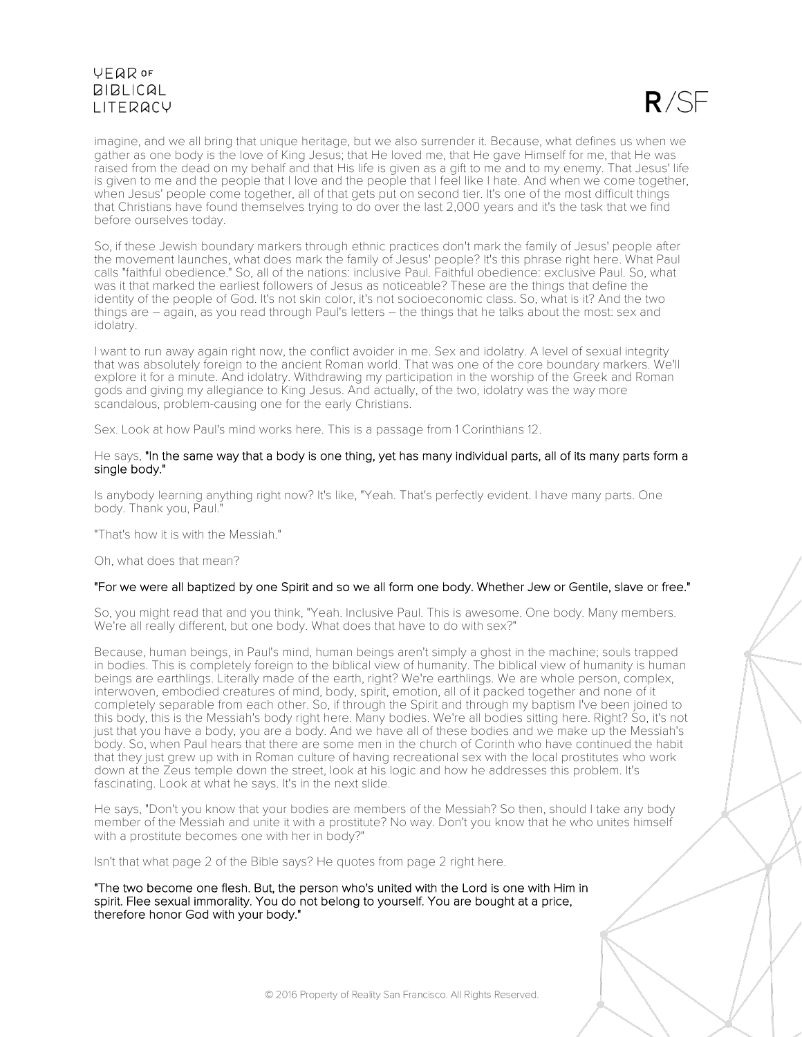

imagine, and we all bring that unique heritage, but we also surrender it. Because, what defines us when we gather as one body is the love of King Jesus; that He loved me, that He gave Himself for me, that He was raised from the dead on my behalf and that His life is given as a gift to me and to my enemy. That Jesus' life is given to me and the people that I love and the people that I feel like I hate. And when we come together, when Jesus' people come together, all of that gets put on second tier. It's one of the most difficult things that Christians have found themselves trying to do over the last 2,000 years and it's the task that we find before ourselves today.

So, if these Jewish boundary markers through ethnic practices don't mark the family of Jesus' people after the movement launches, what does mark the family of Jesus' people? It's this phrase right here. What Paul calls "faithful obedience." So, all of the nations: inclusive Paul. Faithful obedience: exclusive Paul. So, what was it that marked the earliest followers of Jesus as noticeable? These are the things that define the identity of the people of God. It's not skin color, it's not socioeconomic class. So, what is it? And the two things are – again, as you read through Paul's letters – the things that he talks about the most: sex and idolatry.

I want to run away again right now, the conflict avoider in me. Sex and idolatry. A level of sexual integrity that was absolutely foreign to the ancient Roman world. That was one of the core boundary markers. We'll explore it for a minute. And idolatry. Withdrawing my participation in the worship of the Greek and Roman gods and giving my allegiance to King Jesus. And actually, of the two, idolatry was the way more scandalous, problem-causing one for the early Christians.

Sex. Look at how Paul's mind works here. This is a passage from 1 Corinthians 12.

#### He says, "In the same way that a body is one thing, yet has many individual parts, all of its many parts form a single body."

Is anybody learning anything right now? It's like, "Yeah. That's perfectly evident. I have many parts. One body. Thank you, Paul."

"That's how it is with the Messiah."

Oh, what does that mean?

#### "For we were all baptized by one Spirit and so we all form one body. Whether Jew or Gentile, slave or free."

So, you might read that and you think, "Yeah. Inclusive Paul. This is awesome. One body. Many members. We're all really different, but one body. What does that have to do with sex?"

Because, human beings, in Paul's mind, human beings aren't simply a ghost in the machine; souls trapped in bodies. This is completely foreign to the biblical view of humanity. The biblical view of humanity is human beings are earthlings. Literally made of the earth, right? We're earthlings. We are whole person, complex, interwoven, embodied creatures of mind, body, spirit, emotion, all of it packed together and none of it completely separable from each other. So, if through the Spirit and through my baptism I've been joined to this body, this is the Messiah's body right here. Many bodies. We're all bodies sitting here. Right? So, it's not just that you have a body, you are a body. And we have all of these bodies and we make up the Messiah's body. So, when Paul hears that there are some men in the church of Corinth who have continued the habit that they just grew up with in Roman culture of having recreational sex with the local prostitutes who work down at the Zeus temple down the street, look at his logic and how he addresses this problem. It's fascinating. Look at what he says. It's in the next slide.

He says, "Don't you know that your bodies are members of the Messiah? So then, should I take any body member of the Messiah and unite it with a prostitute? No way. Don't you know that he who unites himself with a prostitute becomes one with her in body?"

Isn't that what page 2 of the Bible says? He quotes from page 2 right here.

"The two become one flesh. But, the person who's united with the Lord is one with Him in spirit. Flee sexual immorality. You do not belong to yourself. You are bought at a price, therefore honor God with your body."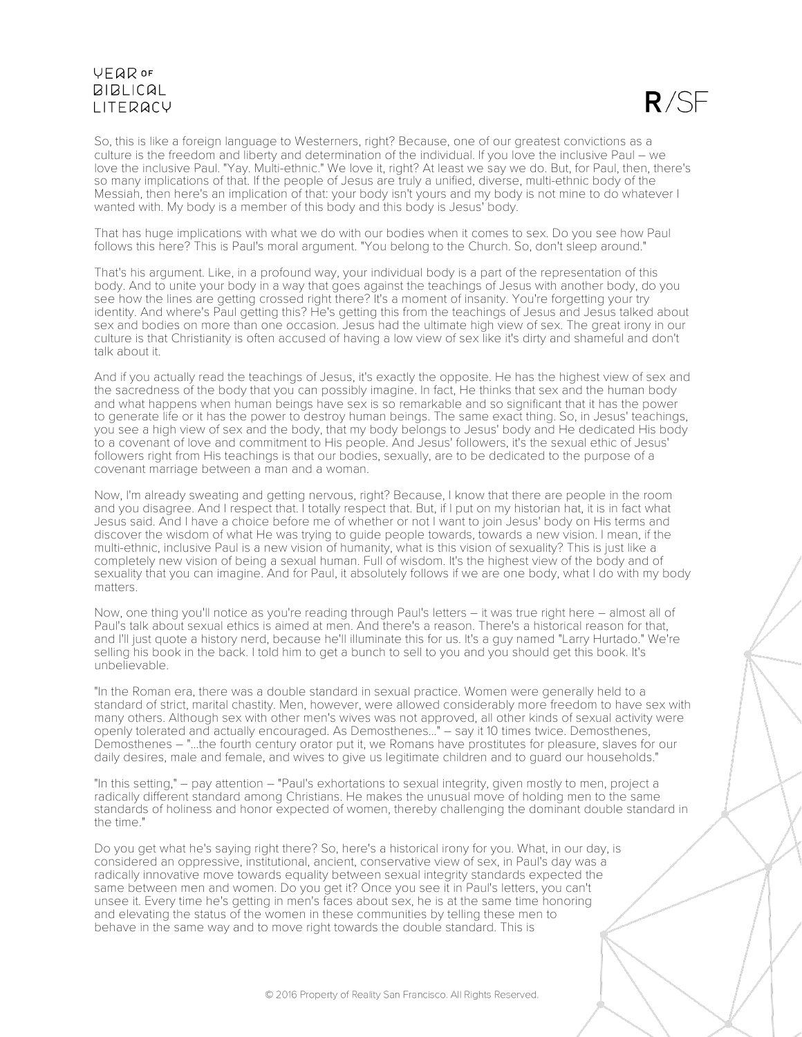$R/SF$ 

So, this is like a foreign language to Westerners, right? Because, one of our greatest convictions as a culture is the freedom and liberty and determination of the individual. If you love the inclusive Paul – we love the inclusive Paul. "Yay. Multi-ethnic." We love it, right? At least we say we do. But, for Paul, then, there's so many implications of that. If the people of Jesus are truly a unified, diverse, multi-ethnic body of the Messiah, then here's an implication of that: your body isn't yours and my body is not mine to do whatever I wanted with. My body is a member of this body and this body is Jesus' body.

That has huge implications with what we do with our bodies when it comes to sex. Do you see how Paul follows this here? This is Paul's moral argument. "You belong to the Church. So, don't sleep around."

That's his argument. Like, in a profound way, your individual body is a part of the representation of this body. And to unite your body in a way that goes against the teachings of Jesus with another body, do you see how the lines are getting crossed right there? It's a moment of insanity. You're forgetting your try identity. And where's Paul getting this? He's getting this from the teachings of Jesus and Jesus talked about sex and bodies on more than one occasion. Jesus had the ultimate high view of sex. The great irony in our culture is that Christianity is often accused of having a low view of sex like it's dirty and shameful and don't talk about it.

And if you actually read the teachings of Jesus, it's exactly the opposite. He has the highest view of sex and the sacredness of the body that you can possibly imagine. In fact, He thinks that sex and the human body and what happens when human beings have sex is so remarkable and so significant that it has the power to generate life or it has the power to destroy human beings. The same exact thing. So, in Jesus' teachings, you see a high view of sex and the body, that my body belongs to Jesus' body and He dedicated His body to a covenant of love and commitment to His people. And Jesus' followers, it's the sexual ethic of Jesus' followers right from His teachings is that our bodies, sexually, are to be dedicated to the purpose of a covenant marriage between a man and a woman.

Now, I'm already sweating and getting nervous, right? Because, I know that there are people in the room and you disagree. And I respect that. I totally respect that. But, if I put on my historian hat, it is in fact what Jesus said. And I have a choice before me of whether or not I want to join Jesus' body on His terms and discover the wisdom of what He was trying to guide people towards, towards a new vision. I mean, if the multi-ethnic, inclusive Paul is a new vision of humanity, what is this vision of sexuality? This is just like a completely new vision of being a sexual human. Full of wisdom. It's the highest view of the body and of sexuality that you can imagine. And for Paul, it absolutely follows if we are one body, what I do with my body matters.

Now, one thing you'll notice as you're reading through Paul's letters – it was true right here – almost all of Paul's talk about sexual ethics is aimed at men. And there's a reason. There's a historical reason for that, and I'll just quote a history nerd, because he'll illuminate this for us. It's a guy named "Larry Hurtado." We're selling his book in the back. I told him to get a bunch to sell to you and you should get this book. It's unbelievable.

"In the Roman era, there was a double standard in sexual practice. Women were generally held to a standard of strict, marital chastity. Men, however, were allowed considerably more freedom to have sex with many others. Although sex with other men's wives was not approved, all other kinds of sexual activity were openly tolerated and actually encouraged. As Demosthenes..." – say it 10 times twice. Demosthenes, Demosthenes – "...the fourth century orator put it, we Romans have prostitutes for pleasure, slaves for our daily desires, male and female, and wives to give us legitimate children and to guard our households."

"In this setting," – pay attention – "Paul's exhortations to sexual integrity, given mostly to men, project a radically different standard among Christians. He makes the unusual move of holding men to the same standards of holiness and honor expected of women, thereby challenging the dominant double standard in the time."

Do you get what he's saying right there? So, here's a historical irony for you. What, in our day, is considered an oppressive, institutional, ancient, conservative view of sex, in Paul's day was a radically innovative move towards equality between sexual integrity standards expected the same between men and women. Do you get it? Once you see it in Paul's letters, you can't unsee it. Every time he's getting in men's faces about sex, he is at the same time honoring and elevating the status of the women in these communities by telling these men to behave in the same way and to move right towards the double standard. This is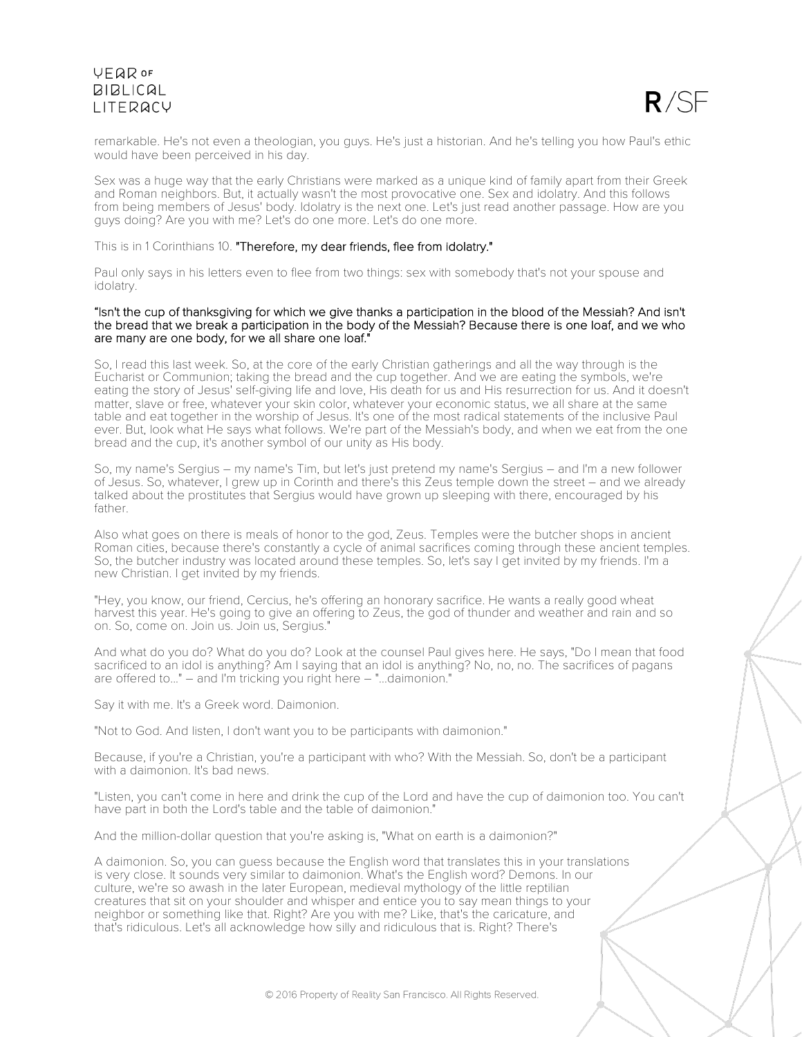

remarkable. He's not even a theologian, you guys. He's just a historian. And he's telling you how Paul's ethic would have been perceived in his day.

Sex was a huge way that the early Christians were marked as a unique kind of family apart from their Greek and Roman neighbors. But, it actually wasn't the most provocative one. Sex and idolatry. And this follows from being members of Jesus' body. Idolatry is the next one. Let's just read another passage. How are you guys doing? Are you with me? Let's do one more. Let's do one more.

This is in 1 Corinthians 10. "Therefore, my dear friends, flee from idolatry."

Paul only says in his letters even to flee from two things: sex with somebody that's not your spouse and idolatry.

#### "Isn't the cup of thanksgiving for which we give thanks a participation in the blood of the Messiah? And isn't the bread that we break a participation in the body of the Messiah? Because there is one loaf, and we who are many are one body, for we all share one loaf."

So, I read this last week. So, at the core of the early Christian gatherings and all the way through is the Eucharist or Communion; taking the bread and the cup together. And we are eating the symbols, we're eating the story of Jesus' self-giving life and love, His death for us and His resurrection for us. And it doesn't matter, slave or free, whatever your skin color, whatever your economic status, we all share at the same table and eat together in the worship of Jesus. It's one of the most radical statements of the inclusive Paul ever. But, look what He says what follows. We're part of the Messiah's body, and when we eat from the one bread and the cup, it's another symbol of our unity as His body.

So, my name's Sergius – my name's Tim, but let's just pretend my name's Sergius – and I'm a new follower of Jesus. So, whatever, I grew up in Corinth and there's this Zeus temple down the street – and we already talked about the prostitutes that Sergius would have grown up sleeping with there, encouraged by his father.

Also what goes on there is meals of honor to the god, Zeus. Temples were the butcher shops in ancient Roman cities, because there's constantly a cycle of animal sacrifices coming through these ancient temples. So, the butcher industry was located around these temples. So, let's say I get invited by my friends. I'm a new Christian. I get invited by my friends.

"Hey, you know, our friend, Cercius, he's offering an honorary sacrifice. He wants a really good wheat harvest this year. He's going to give an offering to Zeus, the god of thunder and weather and rain and so on. So, come on. Join us. Join us, Sergius."

And what do you do? What do you do? Look at the counsel Paul gives here. He says, "Do I mean that food sacrificed to an idol is anything? Am I saying that an idol is anything? No, no, no. The sacrifices of pagans are offered to..." – and I'm tricking you right here – "...daimonion."

Say it with me. It's a Greek word. Daimonion.

"Not to God. And listen, I don't want you to be participants with daimonion."

Because, if you're a Christian, you're a participant with who? With the Messiah. So, don't be a participant with a daimonion. It's bad news.

"Listen, you can't come in here and drink the cup of the Lord and have the cup of daimonion too. You can't have part in both the Lord's table and the table of daimonion."

And the million-dollar question that you're asking is, "What on earth is a daimonion?"

A daimonion. So, you can guess because the English word that translates this in your translations is very close. It sounds very similar to daimonion. What's the English word? Demons. In our culture, we're so awash in the later European, medieval mythology of the little reptilian creatures that sit on your shoulder and whisper and entice you to say mean things to your neighbor or something like that. Right? Are you with me? Like, that's the caricature, and that's ridiculous. Let's all acknowledge how silly and ridiculous that is. Right? There's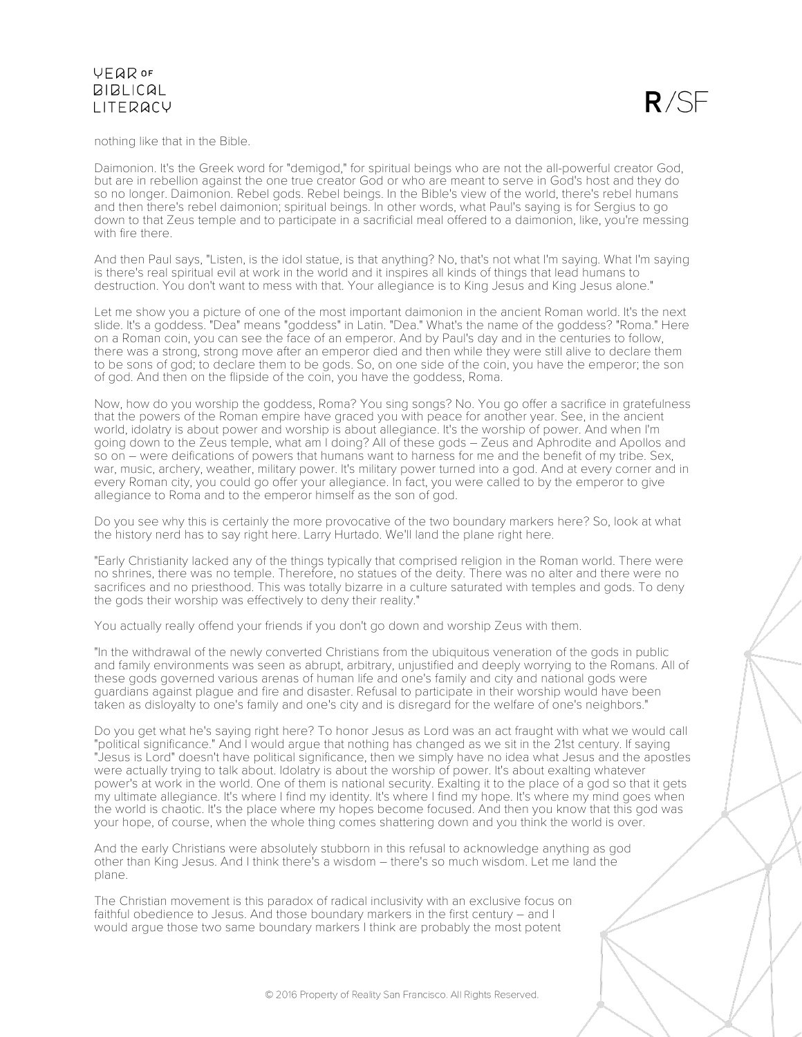

nothing like that in the Bible.

Daimonion. It's the Greek word for "demigod," for spiritual beings who are not the all-powerful creator God, but are in rebellion against the one true creator God or who are meant to serve in God's host and they do so no longer. Daimonion. Rebel gods. Rebel beings. In the Bible's view of the world, there's rebel humans and then there's rebel daimonion; spiritual beings. In other words, what Paul's saying is for Sergius to go down to that Zeus temple and to participate in a sacrificial meal offered to a daimonion, like, you're messing with fire there.

And then Paul says, "Listen, is the idol statue, is that anything? No, that's not what I'm saying. What I'm saying is there's real spiritual evil at work in the world and it inspires all kinds of things that lead humans to destruction. You don't want to mess with that. Your allegiance is to King Jesus and King Jesus alone."

Let me show you a picture of one of the most important daimonion in the ancient Roman world. It's the next slide. It's a goddess. "Dea" means "goddess" in Latin. "Dea." What's the name of the goddess? "Roma." Here on a Roman coin, you can see the face of an emperor. And by Paul's day and in the centuries to follow, there was a strong, strong move after an emperor died and then while they were still alive to declare them to be sons of god; to declare them to be gods. So, on one side of the coin, you have the emperor; the son of god. And then on the flipside of the coin, you have the goddess, Roma.

Now, how do you worship the goddess, Roma? You sing songs? No. You go offer a sacrifice in gratefulness that the powers of the Roman empire have graced you with peace for another year. See, in the ancient world, idolatry is about power and worship is about allegiance. It's the worship of power. And when I'm going down to the Zeus temple, what am I doing? All of these gods – Zeus and Aphrodite and Apollos and so on – were deifications of powers that humans want to harness for me and the benefit of my tribe. Sex, war, music, archery, weather, military power. It's military power turned into a god. And at every corner and in every Roman city, you could go offer your allegiance. In fact, you were called to by the emperor to give allegiance to Roma and to the emperor himself as the son of god.

Do you see why this is certainly the more provocative of the two boundary markers here? So, look at what the history nerd has to say right here. Larry Hurtado. We'll land the plane right here.

"Early Christianity lacked any of the things typically that comprised religion in the Roman world. There were no shrines, there was no temple. Therefore, no statues of the deity. There was no alter and there were no sacrifices and no priesthood. This was totally bizarre in a culture saturated with temples and gods. To deny the gods their worship was effectively to deny their reality."

You actually really offend your friends if you don't go down and worship Zeus with them.

"In the withdrawal of the newly converted Christians from the ubiquitous veneration of the gods in public and family environments was seen as abrupt, arbitrary, unjustified and deeply worrying to the Romans. All of these gods governed various arenas of human life and one's family and city and national gods were guardians against plague and fire and disaster. Refusal to participate in their worship would have been taken as disloyalty to one's family and one's city and is disregard for the welfare of one's neighbors."

Do you get what he's saying right here? To honor Jesus as Lord was an act fraught with what we would call "political significance." And I would argue that nothing has changed as we sit in the 21st century. If saying "Jesus is Lord" doesn't have political significance, then we simply have no idea what Jesus and the apostles were actually trying to talk about. Idolatry is about the worship of power. It's about exalting whatever power's at work in the world. One of them is national security. Exalting it to the place of a god so that it gets my ultimate allegiance. It's where I find my identity. It's where I find my hope. It's where my mind goes when the world is chaotic. It's the place where my hopes become focused. And then you know that this god was your hope, of course, when the whole thing comes shattering down and you think the world is over.

And the early Christians were absolutely stubborn in this refusal to acknowledge anything as god other than King Jesus. And I think there's a wisdom – there's so much wisdom. Let me land the plane.

The Christian movement is this paradox of radical inclusivity with an exclusive focus on faithful obedience to Jesus. And those boundary markers in the first century – and I would argue those two same boundary markers I think are probably the most potent